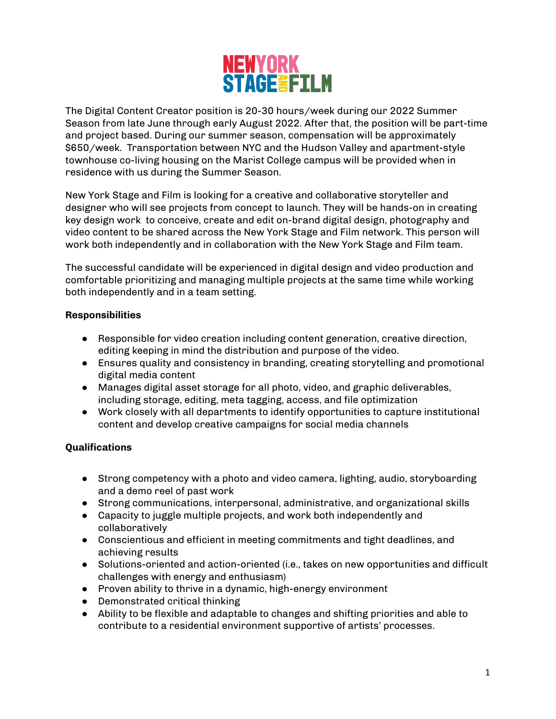

The Digital Content Creator position is 20-30 hours/week during our 2022 Summer Season from late June through early August 2022. After that, the position will be part-time and project based. During our summer season, compensation will be approximately \$650/week. Transportation between NYC and the Hudson Valley and apartment-style townhouse co-living housing on the Marist College campus will be provided when in residence with us during the Summer Season.

New York Stage and Film is looking for a creative and collaborative storyteller and designer who will see projects from concept to launch. They will be hands-on in creating key design work to conceive, create and edit on-brand digital design, photography and video content to be shared across the New York Stage and Film network. This person will work both independently and in collaboration with the New York Stage and Film team.

The successful candidate will be experienced in digital design and video production and comfortable prioritizing and managing multiple projects at the same time while working both independently and in a team setting.

## **Responsibilities**

- Responsible for video creation including content generation, creative direction, editing keeping in mind the distribution and purpose of the video.
- Ensures quality and consistency in branding, creating storytelling and promotional digital media content
- Manages digital asset storage for all photo, video, and graphic deliverables, including storage, editing, meta tagging, access, and file optimization
- Work closely with all departments to identify opportunities to capture institutional content and develop creative campaigns for social media channels

## **Qualifications**

- Strong competency with a photo and video camera, lighting, audio, storyboarding and a demo reel of past work
- Strong communications, interpersonal, administrative, and organizational skills
- Capacity to juggle multiple projects, and work both independently and collaboratively
- Conscientious and efficient in meeting commitments and tight deadlines, and achieving results
- Solutions-oriented and action-oriented (i.e., takes on new opportunities and difficult challenges with energy and enthusiasm)
- Proven ability to thrive in a dynamic, high-energy environment
- Demonstrated critical thinking
- Ability to be flexible and adaptable to changes and shifting priorities and able to contribute to a residential environment supportive of artists' processes.